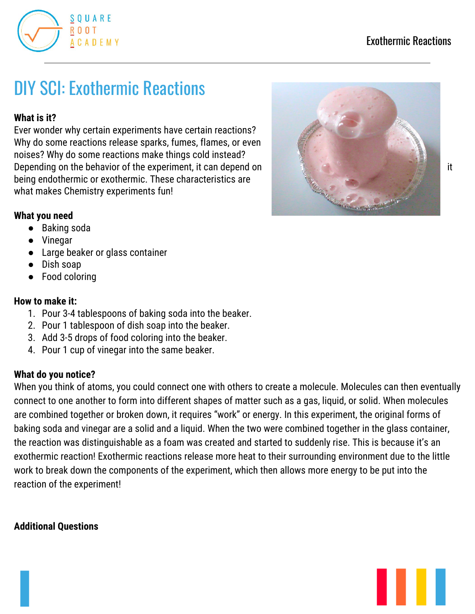

# DIY SCI: Exothermic Reactions

### **What is it?**

Ever wonder why certain experiments have certain reactions? Why do some reactions release sparks, fumes, flames, or even noises? Why do some reactions make things cold instead? Depending on the behavior of the experiment, it can depend on it is a state of the state of the state of the experiment, it can depend on being endothermic or exothermic. These characteristics are what makes Chemistry experiments fun!



- Baking soda
- Vinegar
- Large beaker or glass container
- Dish soap
- Food coloring

### **How to make it:**

- 1. Pour 3-4 tablespoons of baking soda into the beaker.
- 2. Pour 1 tablespoon of dish soap into the beaker.
- 3. Add 3-5 drops of food coloring into the beaker.
- 4. Pour 1 cup of vinegar into the same beaker.

### **What do you notice?**

When you think of atoms, you could connect one with others to create a molecule. Molecules can then eventually connect to one another to form into different shapes of matter such as a gas, liquid, or solid. When molecules are combined together or broken down, it requires "work" or energy. In this experiment, the original forms of baking soda and vinegar are a solid and a liquid. When the two were combined together in the glass container, the reaction was distinguishable as a foam was created and started to suddenly rise. This is because it's an exothermic reaction! Exothermic reactions release more heat to their surrounding environment due to the little work to break down the components of the experiment, which then allows more energy to be put into the reaction of the experiment!

## **Additional Questions**